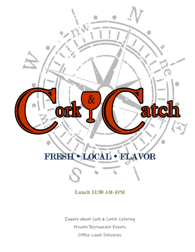

# FRESH LOCAL · FLAVOR

# Lunch 11:30 AM-4PM

Inquire about Cork & Catch Catering Private Restaurant Events Office Lunch Deliveries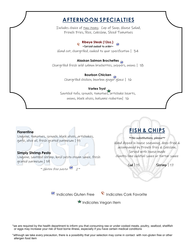# **AFTERNOON SPECIALTIES**

Includes choice of two items: Cup of Soup, House Salad, French Fries, Rice, Coleslaw, Sliced Tomatoes

#### **Ribeye Steak (12oz.)**   $\sim$ Served cooked to order $\sim$

Hand cut, chargrilled, cooked to your specification | 34

#### **Alaskan Salmon Brochettes**

Chargrilled fresh wild salmon brochettes, peppers, onions | 18

#### **Bourbon Chicken**

Chargrilled chicken, bourbon ginger glaze | 16

#### **Vortex Tryst**

Sautéed tofu, spinach, tomatoes, artichoke hearts, onions, black olives, balsamic reduction| 16

#### **Florentine**

Linguine, tomatoes, spinach, black olives, artichokes, garlic, olive oil, fresh grated parmesan | 15

#### **Simply Shrimp Pesto**

Linguine, sautéed shrimp, basil pesto cream sauce, fresh grated parmesan | 19

 $\sim$  Gluten free pasta  $\overline{\text{CP}}$  2 ~

# **FISH & CHIPS**

#### ~*No substitutions, please*~

Hand dipped in house seasoning, deep-fried & accompanied by French fries & Coleslaw, Served with house-made cilantro lime cocktail sauce or tartar sauce

Cod | 15 Shrimp | 17

Indicates Gluten Free  $\frac{c}{c}$  Indicates Cork Favorite

 $\star$  Indicates Vegan Item

\*we are required by the health department to inform you that consuming raw or under cooked meats, poultry, seafood, shellfish or eggs may increase your risk of food borne illness, especially if you have certain medical conditions

\*although we take every precaution, there is a possibility that your selection may come in contact with non-gluten free or other allergen food item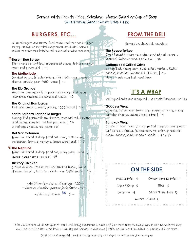#### Served with French Fries, Coleslaw, House Salad or Cup of Soup Substitution: Sweet Potato Fries + 1.00

# **BURGERS, ETC…**

All hamburgers are 100% Hand Made Beef Patties (Burger Patty, Chicken or Portobello Mushroom available), served cooked to order on a brioche roll unless otherwise requested

#### **Desert Bleu Burger**

Bleu cheese crumbles, caramelized onions, lettuce, tomatoes, red pesto aioli | 15

#### **The Motherlode**

Smoked bacon, frizzled onions, fried jalapenos, cheddar cheese, prickly pear BBQ sauce | 17

#### **The Rio Grande**

Avocado, poblano chili, pepper jack cheese red onion, dlettuce, tomato, chipotle aioli sauce | 16

#### **The Original Hamburger**

Lettuce, tomato, onion, pickles, 1000 island | 14

#### **Santa Barbara Portobello Burger**

Chargrilled portobello mushroom, toasted roll, caramelized onions, roasted red bell peppers, | 14 manchego cheese, red pesto aioli

#### **Del Mar Calamari**

Hand battered & deep fried calamari, Telera roll, parmesan, lettuce, tomato, lemon caper aioli | 17

#### $^\mathbb{C}$  The Neptune

Hand battered & deep fried cod, spicy slaw, tomato, house-made tarter sauce | 15

#### **Hickory Chicken**

Grilled chicken breast, hickory smoked bacon, Swiss cheese, tomato, lettuce, prickly pear BBQ sauce | 14

> $\sim$  Additional sauces or dressings: 1.00  $\sim$  $\sim$  Cheese: cheddar, pepper jack, Swiss .75  $\sim$

 $\sim$  Gluten free bun  $\overline{CP}$  2  $\sim$ 

### **FROM THE DELI**

Served as classic ½ pounders

#### **The Rogue Turkey**

í

Oven baked turkey, focaccia, roasted red peppers, lettuce, Swiss cheese, garlic aioli | 16

#### **Cottonwood Grilled Cristo**

Pan grilled, honey ham, oven baked turkey, Swiss cheese, roasted poblanos & cilantro, | 16 House made roasted peach jam

# **IT'S A WRAP**

All ingredients are wrapped in a fresh flavored tortilla

#### **Goddess Wrap**

Spinach, cucumbers, tomatoes, jicama, carrots, onions, cheddar cheese, lemon vinaigrette | 14

#### Ì **Bangkok Wrap**

Choice of deep fried Shrimp or Cod tossed in our sweet chili sauce, spinach, jicama, tomato, onion, pineapple cream cheese, black sesame seeds | 17 / 15

| <b>ON THE SIDE</b> |                      | $\Box$           |
|--------------------|----------------------|------------------|
| French Fries 5     | Sweet Potato Fries 5 | $\Box$           |
| Cup of Soup 5      | Rice 5               | $\Box$<br>$\Box$ |
| Coleslaw 4         | Sliced Tomatoes 3    |                  |
| Market Salad 6     |                      | □                |
|                    |                      |                  |

To be considerate of all our guests' time and dining experiences, tables of 6 or more may receive 2 checks per table so we may continue to offer the same level of quality and service to everyone | 20% gratuity will be added to parties of 6 or more.

 $\Box$  $\Box$ 

Split plate charge \$4 | cork & catch reserves the right to refuse service to anyone